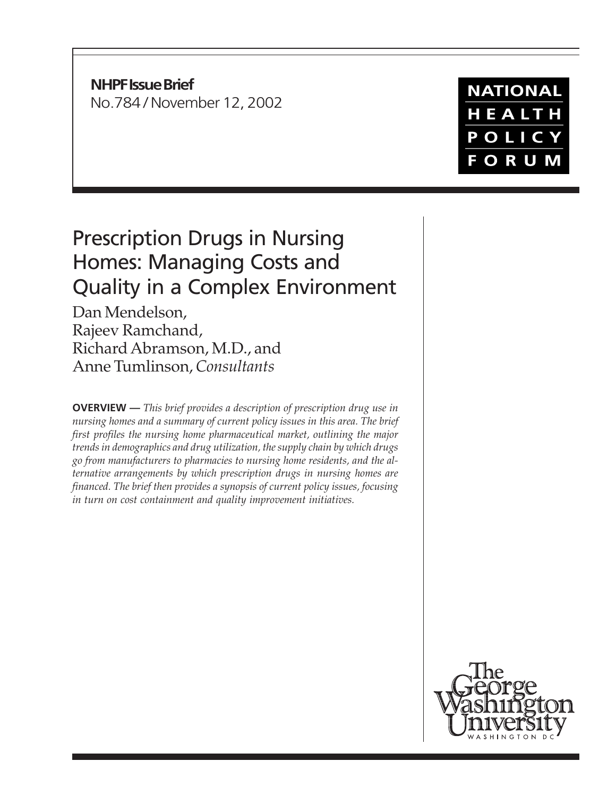**NHPF Issue Brief** No.784 / November 12, 2002

# Prescription Drugs in Nursing Homes: Managing Costs and Quality in a Complex Environment

Dan Mendelson, Rajeev Ramchand, Richard Abramson, M.D., and Anne Tumlinson, *Consultants*

**OVERVIEW —** *This brief provides a description of prescription drug use in nursing homes and a summary of current policy issues in this area. The brief first profiles the nursing home pharmaceutical market, outlining the major trends in demographics and drug utilization, the supply chain by which drugs go from manufacturers to pharmacies to nursing home residents, and the alternative arrangements by which prescription drugs in nursing homes are financed. The brief then provides a synopsis of current policy issues, focusing in turn on cost containment and quality improvement initiatives.*



**NATIONAL** HEALTH POLICY **FORUM**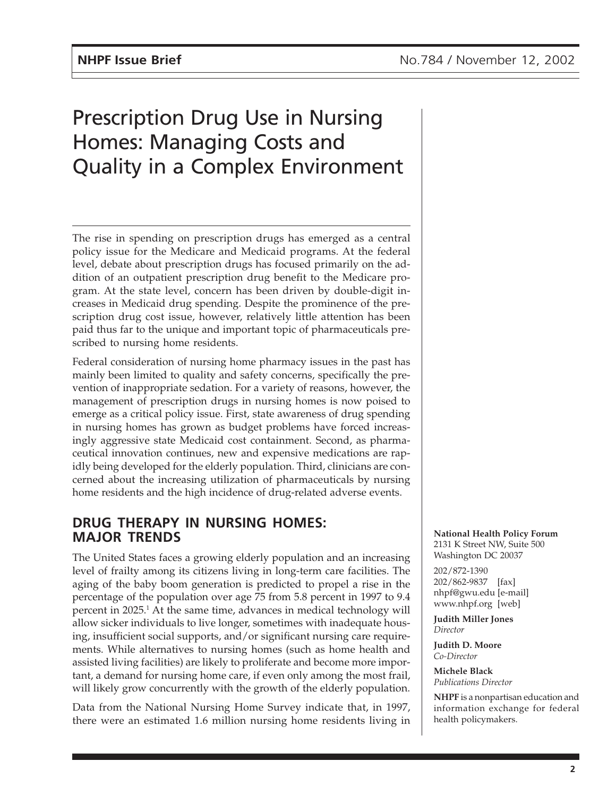# Prescription Drug Use in Nursing Homes: Managing Costs and Quality in a Complex Environment

The rise in spending on prescription drugs has emerged as a central policy issue for the Medicare and Medicaid programs. At the federal level, debate about prescription drugs has focused primarily on the addition of an outpatient prescription drug benefit to the Medicare program. At the state level, concern has been driven by double-digit increases in Medicaid drug spending. Despite the prominence of the prescription drug cost issue, however, relatively little attention has been paid thus far to the unique and important topic of pharmaceuticals prescribed to nursing home residents.

Federal consideration of nursing home pharmacy issues in the past has mainly been limited to quality and safety concerns, specifically the prevention of inappropriate sedation. For a variety of reasons, however, the management of prescription drugs in nursing homes is now poised to emerge as a critical policy issue. First, state awareness of drug spending in nursing homes has grown as budget problems have forced increasingly aggressive state Medicaid cost containment. Second, as pharmaceutical innovation continues, new and expensive medications are rapidly being developed for the elderly population. Third, clinicians are concerned about the increasing utilization of pharmaceuticals by nursing home residents and the high incidence of drug-related adverse events.

# **DRUG THERAPY IN NURSING HOMES: MAJOR TRENDS**

The United States faces a growing elderly population and an increasing level of frailty among its citizens living in long-term care facilities. The aging of the baby boom generation is predicted to propel a rise in the percentage of the population over age 75 from 5.8 percent in 1997 to 9.4 percent in 2025.<sup>1</sup> At the same time, advances in medical technology will allow sicker individuals to live longer, sometimes with inadequate housing, insufficient social supports, and/or significant nursing care requirements. While alternatives to nursing homes (such as home health and assisted living facilities) are likely to proliferate and become more important, a demand for nursing home care, if even only among the most frail, will likely grow concurrently with the growth of the elderly population.

Data from the National Nursing Home Survey indicate that, in 1997, there were an estimated 1.6 million nursing home residents living in **National Health Policy Forum** 2131 K Street NW, Suite 500 Washington DC 20037

202/872-1390 202/862-9837 [fax] nhpf@gwu.edu [e-mail] www.nhpf.org [web]

**Judith Miller Jones** *Director*

**Judith D. Moore** *Co-Director*

**Michele Black** *Publications Director*

**NHPF** is a nonpartisan education and information exchange for federal health policymakers.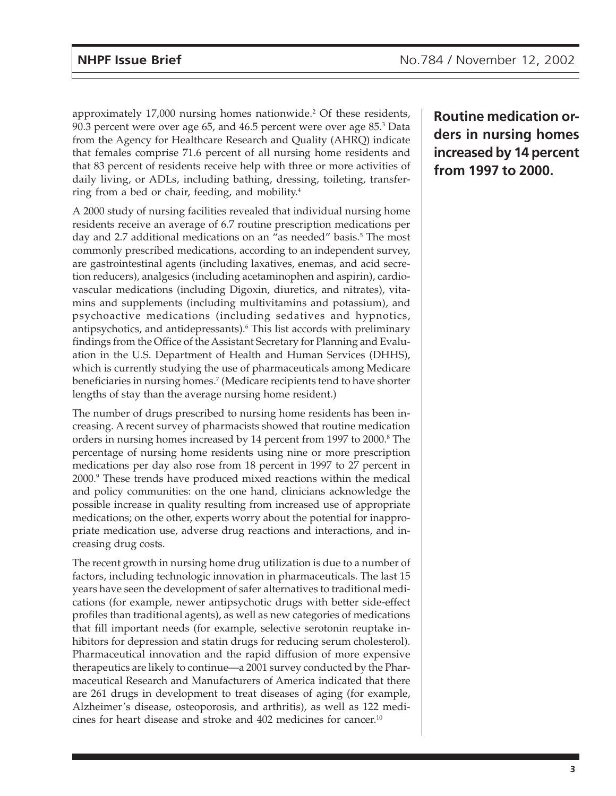approximately 17,000 nursing homes nationwide.<sup>2</sup> Of these residents,  $90.3$  percent were over age 65, and  $46.5$  percent were over age  $85.3$  Data from the Agency for Healthcare Research and Quality (AHRQ) indicate that females comprise 71.6 percent of all nursing home residents and that 83 percent of residents receive help with three or more activities of daily living, or ADLs, including bathing, dressing, toileting, transferring from a bed or chair, feeding, and mobility.<sup>4</sup>

A 2000 study of nursing facilities revealed that individual nursing home residents receive an average of 6.7 routine prescription medications per day and 2.7 additional medications on an "as needed" basis.<sup>5</sup> The most commonly prescribed medications, according to an independent survey, are gastrointestinal agents (including laxatives, enemas, and acid secretion reducers), analgesics (including acetaminophen and aspirin), cardiovascular medications (including Digoxin, diuretics, and nitrates), vitamins and supplements (including multivitamins and potassium), and psychoactive medications (including sedatives and hypnotics, antipsychotics, and antidepressants).6 This list accords with preliminary findings from the Office of the Assistant Secretary for Planning and Evaluation in the U.S. Department of Health and Human Services (DHHS), which is currently studying the use of pharmaceuticals among Medicare beneficiaries in nursing homes.7 (Medicare recipients tend to have shorter lengths of stay than the average nursing home resident.)

The number of drugs prescribed to nursing home residents has been increasing. A recent survey of pharmacists showed that routine medication orders in nursing homes increased by 14 percent from 1997 to 2000.<sup>8</sup> The percentage of nursing home residents using nine or more prescription medications per day also rose from 18 percent in 1997 to 27 percent in 2000.9 These trends have produced mixed reactions within the medical and policy communities: on the one hand, clinicians acknowledge the possible increase in quality resulting from increased use of appropriate medications; on the other, experts worry about the potential for inappropriate medication use, adverse drug reactions and interactions, and increasing drug costs.

The recent growth in nursing home drug utilization is due to a number of factors, including technologic innovation in pharmaceuticals. The last 15 years have seen the development of safer alternatives to traditional medications (for example, newer antipsychotic drugs with better side-effect profiles than traditional agents), as well as new categories of medications that fill important needs (for example, selective serotonin reuptake inhibitors for depression and statin drugs for reducing serum cholesterol). Pharmaceutical innovation and the rapid diffusion of more expensive therapeutics are likely to continue—a 2001 survey conducted by the Pharmaceutical Research and Manufacturers of America indicated that there are 261 drugs in development to treat diseases of aging (for example, Alzheimer's disease, osteoporosis, and arthritis), as well as 122 medicines for heart disease and stroke and 402 medicines for cancer.10

**Routine medication orders in nursing homes increased by 14 percent from 1997 to 2000.**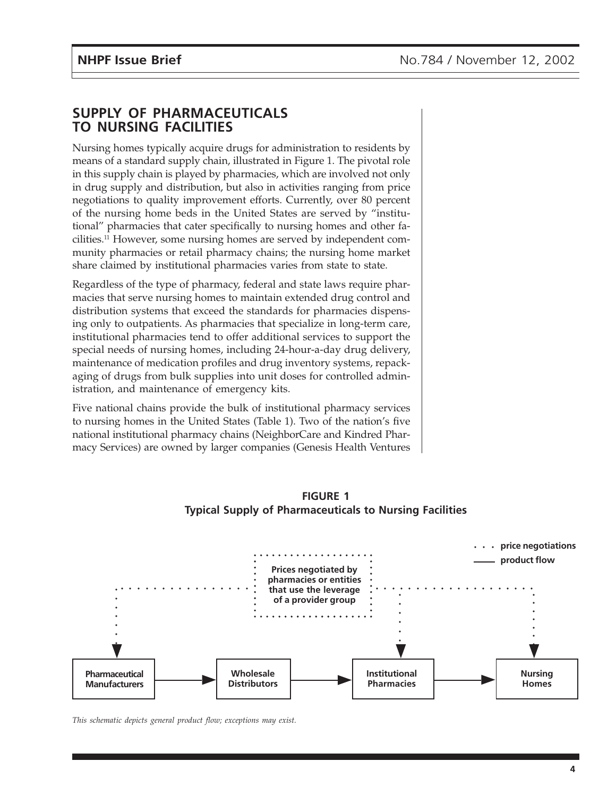## **SUPPLY OF PHARMACEUTICALS TO NURSING FACILITIES**

Nursing homes typically acquire drugs for administration to residents by means of a standard supply chain, illustrated in Figure 1. The pivotal role in this supply chain is played by pharmacies, which are involved not only in drug supply and distribution, but also in activities ranging from price negotiations to quality improvement efforts. Currently, over 80 percent of the nursing home beds in the United States are served by "institutional" pharmacies that cater specifically to nursing homes and other facilities.11 However, some nursing homes are served by independent community pharmacies or retail pharmacy chains; the nursing home market share claimed by institutional pharmacies varies from state to state.

Regardless of the type of pharmacy, federal and state laws require pharmacies that serve nursing homes to maintain extended drug control and distribution systems that exceed the standards for pharmacies dispensing only to outpatients. As pharmacies that specialize in long-term care, institutional pharmacies tend to offer additional services to support the special needs of nursing homes, including 24-hour-a-day drug delivery, maintenance of medication profiles and drug inventory systems, repackaging of drugs from bulk supplies into unit doses for controlled administration, and maintenance of emergency kits.

Five national chains provide the bulk of institutional pharmacy services to nursing homes in the United States (Table 1). Two of the nation's five national institutional pharmacy chains (NeighborCare and Kindred Pharmacy Services) are owned by larger companies (Genesis Health Ventures



**FIGURE 1 Typical Supply of Pharmaceuticals to Nursing Facilities**

*This schematic depicts general product flow; exceptions may exist.*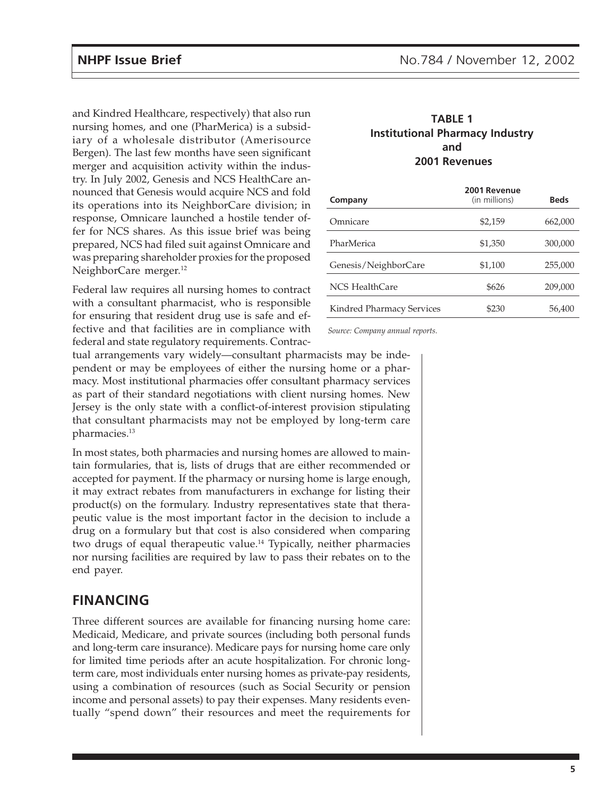and Kindred Healthcare, respectively) that also run nursing homes, and one (PharMerica) is a subsidiary of a wholesale distributor (Amerisource Bergen). The last few months have seen significant merger and acquisition activity within the industry. In July 2002, Genesis and NCS HealthCare announced that Genesis would acquire NCS and fold its operations into its NeighborCare division; in response, Omnicare launched a hostile tender offer for NCS shares. As this issue brief was being prepared, NCS had filed suit against Omnicare and was preparing shareholder proxies for the proposed NeighborCare merger.<sup>12</sup>

Federal law requires all nursing homes to contract with a consultant pharmacist, who is responsible for ensuring that resident drug use is safe and effective and that facilities are in compliance with federal and state regulatory requirements. Contrac-

#### **TABLE 1 Institutional Pharmacy Industry and 2001 Revenues**

| Company                   | 2001 Revenue<br>(in millions) | <b>Beds</b> |
|---------------------------|-------------------------------|-------------|
| Omnicare                  | \$2,159                       | 662,000     |
| PharMerica                | \$1,350                       | 300,000     |
| Genesis/NeighborCare      | \$1,100                       | 255,000     |
| NCS HealthCare            | \$626                         | 209,000     |
| Kindred Pharmacy Services | \$230                         | 56.400      |

*Source: Company annual reports.*

tual arrangements vary widely—consultant pharmacists may be independent or may be employees of either the nursing home or a pharmacy. Most institutional pharmacies offer consultant pharmacy services as part of their standard negotiations with client nursing homes. New Jersey is the only state with a conflict-of-interest provision stipulating that consultant pharmacists may not be employed by long-term care pharmacies.13

In most states, both pharmacies and nursing homes are allowed to maintain formularies, that is, lists of drugs that are either recommended or accepted for payment. If the pharmacy or nursing home is large enough, it may extract rebates from manufacturers in exchange for listing their product(s) on the formulary. Industry representatives state that therapeutic value is the most important factor in the decision to include a drug on a formulary but that cost is also considered when comparing two drugs of equal therapeutic value.<sup>14</sup> Typically, neither pharmacies nor nursing facilities are required by law to pass their rebates on to the end payer.

# **FINANCING**

Three different sources are available for financing nursing home care: Medicaid, Medicare, and private sources (including both personal funds and long-term care insurance). Medicare pays for nursing home care only for limited time periods after an acute hospitalization. For chronic longterm care, most individuals enter nursing homes as private-pay residents, using a combination of resources (such as Social Security or pension income and personal assets) to pay their expenses. Many residents eventually "spend down" their resources and meet the requirements for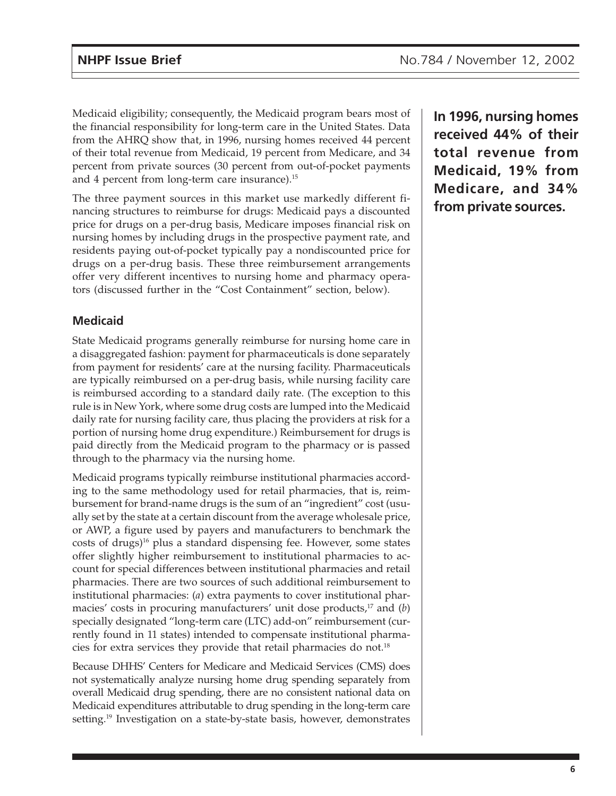Medicaid eligibility; consequently, the Medicaid program bears most of the financial responsibility for long-term care in the United States. Data from the AHRQ show that, in 1996, nursing homes received 44 percent of their total revenue from Medicaid, 19 percent from Medicare, and 34 percent from private sources (30 percent from out-of-pocket payments and 4 percent from long-term care insurance).<sup>15</sup>

The three payment sources in this market use markedly different financing structures to reimburse for drugs: Medicaid pays a discounted price for drugs on a per-drug basis, Medicare imposes financial risk on nursing homes by including drugs in the prospective payment rate, and residents paying out-of-pocket typically pay a nondiscounted price for drugs on a per-drug basis. These three reimbursement arrangements offer very different incentives to nursing home and pharmacy operators (discussed further in the "Cost Containment" section, below).

## **Medicaid**

State Medicaid programs generally reimburse for nursing home care in a disaggregated fashion: payment for pharmaceuticals is done separately from payment for residents' care at the nursing facility. Pharmaceuticals are typically reimbursed on a per-drug basis, while nursing facility care is reimbursed according to a standard daily rate. (The exception to this rule is in New York, where some drug costs are lumped into the Medicaid daily rate for nursing facility care, thus placing the providers at risk for a portion of nursing home drug expenditure.) Reimbursement for drugs is paid directly from the Medicaid program to the pharmacy or is passed through to the pharmacy via the nursing home.

Medicaid programs typically reimburse institutional pharmacies according to the same methodology used for retail pharmacies, that is, reimbursement for brand-name drugs is the sum of an "ingredient" cost (usually set by the state at a certain discount from the average wholesale price, or AWP, a figure used by payers and manufacturers to benchmark the costs of drugs) $16$  plus a standard dispensing fee. However, some states offer slightly higher reimbursement to institutional pharmacies to account for special differences between institutional pharmacies and retail pharmacies. There are two sources of such additional reimbursement to institutional pharmacies: (*a*) extra payments to cover institutional pharmacies' costs in procuring manufacturers' unit dose products,<sup>17</sup> and (*b*) specially designated "long-term care (LTC) add-on" reimbursement (currently found in 11 states) intended to compensate institutional pharmacies for extra services they provide that retail pharmacies do not.18

Because DHHS' Centers for Medicare and Medicaid Services (CMS) does not systematically analyze nursing home drug spending separately from overall Medicaid drug spending, there are no consistent national data on Medicaid expenditures attributable to drug spending in the long-term care setting.19 Investigation on a state-by-state basis, however, demonstrates

**In 1996, nursing homes received 44% of their total revenue from Medicaid, 19% from Medicare, and 34% from private sources.**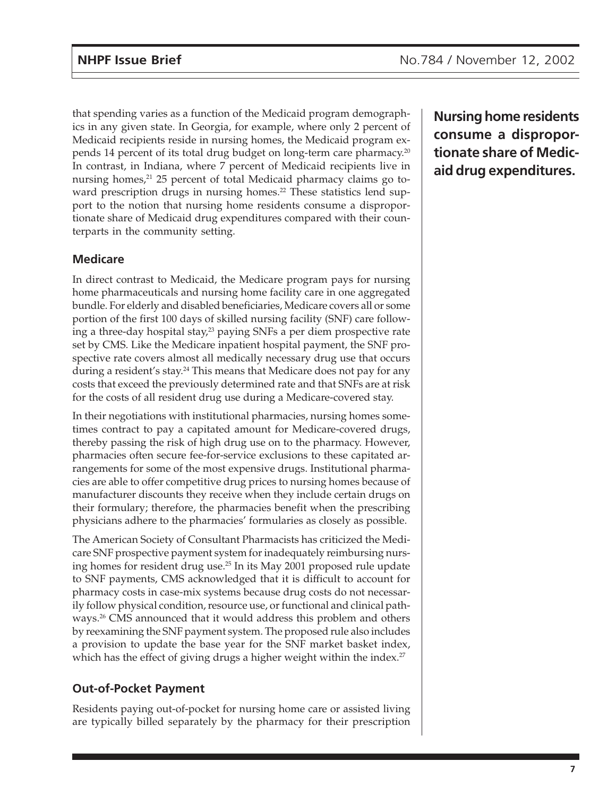that spending varies as a function of the Medicaid program demographics in any given state. In Georgia, for example, where only 2 percent of Medicaid recipients reside in nursing homes, the Medicaid program expends 14 percent of its total drug budget on long-term care pharmacy.20 In contrast, in Indiana, where 7 percent of Medicaid recipients live in nursing homes,<sup>21</sup> 25 percent of total Medicaid pharmacy claims go toward prescription drugs in nursing homes.<sup>22</sup> These statistics lend support to the notion that nursing home residents consume a disproportionate share of Medicaid drug expenditures compared with their counterparts in the community setting.

#### **Medicare**

In direct contrast to Medicaid, the Medicare program pays for nursing home pharmaceuticals and nursing home facility care in one aggregated bundle. For elderly and disabled beneficiaries, Medicare covers all or some portion of the first 100 days of skilled nursing facility (SNF) care following a three-day hospital stay, $23$  paying SNFs a per diem prospective rate set by CMS. Like the Medicare inpatient hospital payment, the SNF prospective rate covers almost all medically necessary drug use that occurs during a resident's stay.<sup>24</sup> This means that Medicare does not pay for any costs that exceed the previously determined rate and that SNFs are at risk for the costs of all resident drug use during a Medicare-covered stay.

In their negotiations with institutional pharmacies, nursing homes sometimes contract to pay a capitated amount for Medicare-covered drugs, thereby passing the risk of high drug use on to the pharmacy. However, pharmacies often secure fee-for-service exclusions to these capitated arrangements for some of the most expensive drugs. Institutional pharmacies are able to offer competitive drug prices to nursing homes because of manufacturer discounts they receive when they include certain drugs on their formulary; therefore, the pharmacies benefit when the prescribing physicians adhere to the pharmacies' formularies as closely as possible.

The American Society of Consultant Pharmacists has criticized the Medicare SNF prospective payment system for inadequately reimbursing nursing homes for resident drug use.25 In its May 2001 proposed rule update to SNF payments, CMS acknowledged that it is difficult to account for pharmacy costs in case-mix systems because drug costs do not necessarily follow physical condition, resource use, or functional and clinical pathways.26 CMS announced that it would address this problem and others by reexamining the SNF payment system. The proposed rule also includes a provision to update the base year for the SNF market basket index, which has the effect of giving drugs a higher weight within the index.<sup>27</sup>

### **Out-of-Pocket Payment**

Residents paying out-of-pocket for nursing home care or assisted living are typically billed separately by the pharmacy for their prescription **Nursing home residents consume a disproportionate share of Medicaid drug expenditures.**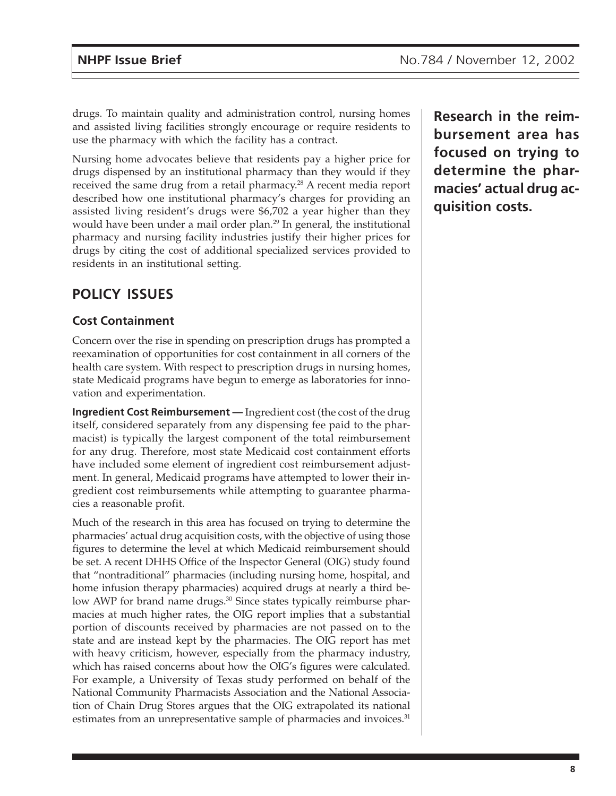drugs. To maintain quality and administration control, nursing homes and assisted living facilities strongly encourage or require residents to use the pharmacy with which the facility has a contract.

Nursing home advocates believe that residents pay a higher price for drugs dispensed by an institutional pharmacy than they would if they received the same drug from a retail pharmacy.<sup>28</sup> A recent media report described how one institutional pharmacy's charges for providing an assisted living resident's drugs were \$6,702 a year higher than they would have been under a mail order plan.<sup>29</sup> In general, the institutional pharmacy and nursing facility industries justify their higher prices for drugs by citing the cost of additional specialized services provided to residents in an institutional setting.

# **POLICY ISSUES**

#### **Cost Containment**

Concern over the rise in spending on prescription drugs has prompted a reexamination of opportunities for cost containment in all corners of the health care system. With respect to prescription drugs in nursing homes, state Medicaid programs have begun to emerge as laboratories for innovation and experimentation.

**Ingredient Cost Reimbursement —** Ingredient cost (the cost of the drug itself, considered separately from any dispensing fee paid to the pharmacist) is typically the largest component of the total reimbursement for any drug. Therefore, most state Medicaid cost containment efforts have included some element of ingredient cost reimbursement adjustment. In general, Medicaid programs have attempted to lower their ingredient cost reimbursements while attempting to guarantee pharmacies a reasonable profit.

Much of the research in this area has focused on trying to determine the pharmacies' actual drug acquisition costs, with the objective of using those figures to determine the level at which Medicaid reimbursement should be set. A recent DHHS Office of the Inspector General (OIG) study found that "nontraditional" pharmacies (including nursing home, hospital, and home infusion therapy pharmacies) acquired drugs at nearly a third below AWP for brand name drugs.<sup>30</sup> Since states typically reimburse pharmacies at much higher rates, the OIG report implies that a substantial portion of discounts received by pharmacies are not passed on to the state and are instead kept by the pharmacies. The OIG report has met with heavy criticism, however, especially from the pharmacy industry, which has raised concerns about how the OIG's figures were calculated. For example, a University of Texas study performed on behalf of the National Community Pharmacists Association and the National Association of Chain Drug Stores argues that the OIG extrapolated its national estimates from an unrepresentative sample of pharmacies and invoices.<sup>31</sup>

**Research in the reimbursement area has focused on trying to determine the pharmacies' actual drug acquisition costs.**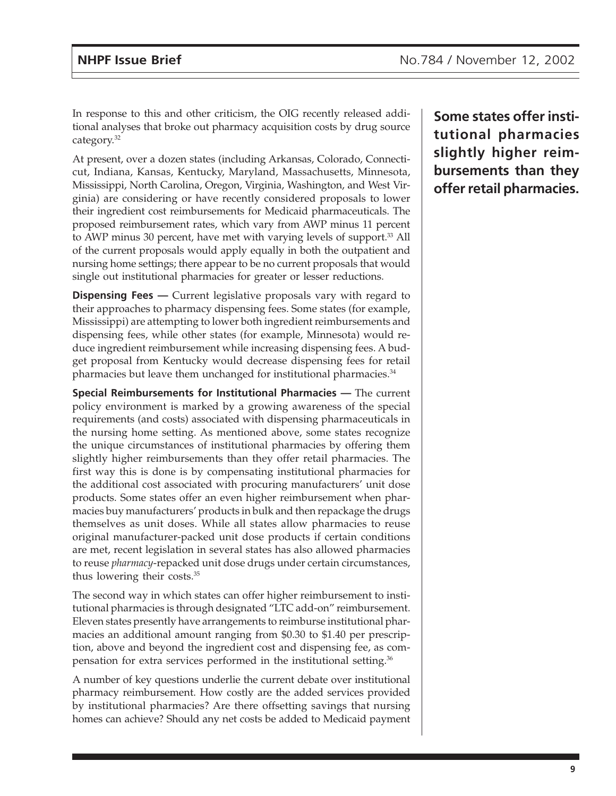In response to this and other criticism, the OIG recently released additional analyses that broke out pharmacy acquisition costs by drug source category.32

At present, over a dozen states (including Arkansas, Colorado, Connecticut, Indiana, Kansas, Kentucky, Maryland, Massachusetts, Minnesota, Mississippi, North Carolina, Oregon, Virginia, Washington, and West Virginia) are considering or have recently considered proposals to lower their ingredient cost reimbursements for Medicaid pharmaceuticals. The proposed reimbursement rates, which vary from AWP minus 11 percent to AWP minus 30 percent, have met with varying levels of support.33 All of the current proposals would apply equally in both the outpatient and nursing home settings; there appear to be no current proposals that would single out institutional pharmacies for greater or lesser reductions.

**Dispensing Fees** — Current legislative proposals vary with regard to their approaches to pharmacy dispensing fees. Some states (for example, Mississippi) are attempting to lower both ingredient reimbursements and dispensing fees, while other states (for example, Minnesota) would reduce ingredient reimbursement while increasing dispensing fees. A budget proposal from Kentucky would decrease dispensing fees for retail pharmacies but leave them unchanged for institutional pharmacies.<sup>34</sup>

**Special Reimbursements for Institutional Pharmacies —** The current policy environment is marked by a growing awareness of the special requirements (and costs) associated with dispensing pharmaceuticals in the nursing home setting. As mentioned above, some states recognize the unique circumstances of institutional pharmacies by offering them slightly higher reimbursements than they offer retail pharmacies. The first way this is done is by compensating institutional pharmacies for the additional cost associated with procuring manufacturers' unit dose products. Some states offer an even higher reimbursement when pharmacies buy manufacturers' products in bulk and then repackage the drugs themselves as unit doses. While all states allow pharmacies to reuse original manufacturer-packed unit dose products if certain conditions are met, recent legislation in several states has also allowed pharmacies to reuse *pharmacy*-repacked unit dose drugs under certain circumstances, thus lowering their costs.35

The second way in which states can offer higher reimbursement to institutional pharmacies is through designated "LTC add-on" reimbursement. Eleven states presently have arrangements to reimburse institutional pharmacies an additional amount ranging from \$0.30 to \$1.40 per prescription, above and beyond the ingredient cost and dispensing fee, as compensation for extra services performed in the institutional setting.36

A number of key questions underlie the current debate over institutional pharmacy reimbursement. How costly are the added services provided by institutional pharmacies? Are there offsetting savings that nursing homes can achieve? Should any net costs be added to Medicaid payment

**Some states offer institutional pharmacies slightly higher reimbursements than they offer retail pharmacies.**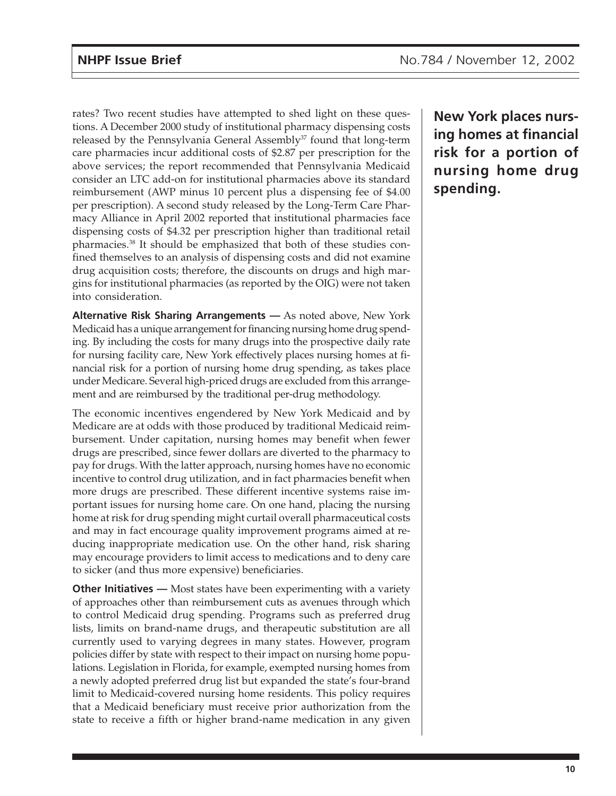rates? Two recent studies have attempted to shed light on these questions. A December 2000 study of institutional pharmacy dispensing costs released by the Pennsylvania General Assembly<sup>37</sup> found that long-term care pharmacies incur additional costs of \$2.87 per prescription for the above services; the report recommended that Pennsylvania Medicaid consider an LTC add-on for institutional pharmacies above its standard reimbursement (AWP minus 10 percent plus a dispensing fee of \$4.00 per prescription). A second study released by the Long-Term Care Pharmacy Alliance in April 2002 reported that institutional pharmacies face dispensing costs of \$4.32 per prescription higher than traditional retail pharmacies.38 It should be emphasized that both of these studies confined themselves to an analysis of dispensing costs and did not examine drug acquisition costs; therefore, the discounts on drugs and high margins for institutional pharmacies (as reported by the OIG) were not taken into consideration.

**Alternative Risk Sharing Arrangements —** As noted above, New York Medicaid has a unique arrangement for financing nursing home drug spending. By including the costs for many drugs into the prospective daily rate for nursing facility care, New York effectively places nursing homes at financial risk for a portion of nursing home drug spending, as takes place under Medicare. Several high-priced drugs are excluded from this arrangement and are reimbursed by the traditional per-drug methodology.

The economic incentives engendered by New York Medicaid and by Medicare are at odds with those produced by traditional Medicaid reimbursement. Under capitation, nursing homes may benefit when fewer drugs are prescribed, since fewer dollars are diverted to the pharmacy to pay for drugs. With the latter approach, nursing homes have no economic incentive to control drug utilization, and in fact pharmacies benefit when more drugs are prescribed. These different incentive systems raise important issues for nursing home care. On one hand, placing the nursing home at risk for drug spending might curtail overall pharmaceutical costs and may in fact encourage quality improvement programs aimed at reducing inappropriate medication use. On the other hand, risk sharing may encourage providers to limit access to medications and to deny care to sicker (and thus more expensive) beneficiaries.

**Other Initiatives** — Most states have been experimenting with a variety of approaches other than reimbursement cuts as avenues through which to control Medicaid drug spending. Programs such as preferred drug lists, limits on brand-name drugs, and therapeutic substitution are all currently used to varying degrees in many states. However, program policies differ by state with respect to their impact on nursing home populations. Legislation in Florida, for example, exempted nursing homes from a newly adopted preferred drug list but expanded the state's four-brand limit to Medicaid-covered nursing home residents. This policy requires that a Medicaid beneficiary must receive prior authorization from the state to receive a fifth or higher brand-name medication in any given

**New York places nursing homes at financial risk for a portion of nursing home drug spending.**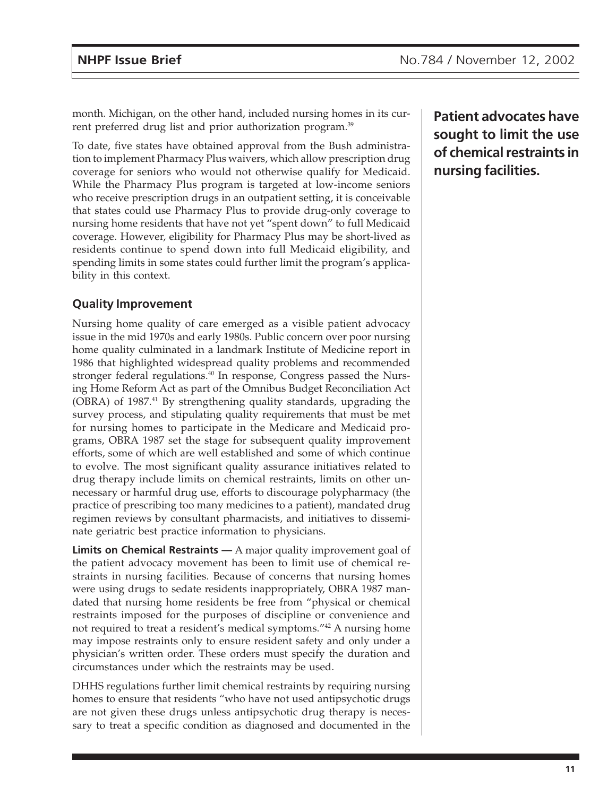month. Michigan, on the other hand, included nursing homes in its current preferred drug list and prior authorization program.<sup>39</sup>

To date, five states have obtained approval from the Bush administration to implement Pharmacy Plus waivers, which allow prescription drug coverage for seniors who would not otherwise qualify for Medicaid. While the Pharmacy Plus program is targeted at low-income seniors who receive prescription drugs in an outpatient setting, it is conceivable that states could use Pharmacy Plus to provide drug-only coverage to nursing home residents that have not yet "spent down" to full Medicaid coverage. However, eligibility for Pharmacy Plus may be short-lived as residents continue to spend down into full Medicaid eligibility, and spending limits in some states could further limit the program's applicability in this context.

### **Quality Improvement**

Nursing home quality of care emerged as a visible patient advocacy issue in the mid 1970s and early 1980s. Public concern over poor nursing home quality culminated in a landmark Institute of Medicine report in 1986 that highlighted widespread quality problems and recommended stronger federal regulations.<sup>40</sup> In response, Congress passed the Nursing Home Reform Act as part of the Omnibus Budget Reconciliation Act (OBRA) of 1987.<sup>41</sup> By strengthening quality standards, upgrading the survey process, and stipulating quality requirements that must be met for nursing homes to participate in the Medicare and Medicaid programs, OBRA 1987 set the stage for subsequent quality improvement efforts, some of which are well established and some of which continue to evolve. The most significant quality assurance initiatives related to drug therapy include limits on chemical restraints, limits on other unnecessary or harmful drug use, efforts to discourage polypharmacy (the practice of prescribing too many medicines to a patient), mandated drug regimen reviews by consultant pharmacists, and initiatives to disseminate geriatric best practice information to physicians.

**Limits on Chemical Restraints —** A major quality improvement goal of the patient advocacy movement has been to limit use of chemical restraints in nursing facilities. Because of concerns that nursing homes were using drugs to sedate residents inappropriately, OBRA 1987 mandated that nursing home residents be free from "physical or chemical restraints imposed for the purposes of discipline or convenience and not required to treat a resident's medical symptoms."42 A nursing home may impose restraints only to ensure resident safety and only under a physician's written order. These orders must specify the duration and circumstances under which the restraints may be used.

DHHS regulations further limit chemical restraints by requiring nursing homes to ensure that residents "who have not used antipsychotic drugs are not given these drugs unless antipsychotic drug therapy is necessary to treat a specific condition as diagnosed and documented in the

**Patient advocates have sought to limit the use of chemical restraints in nursing facilities.**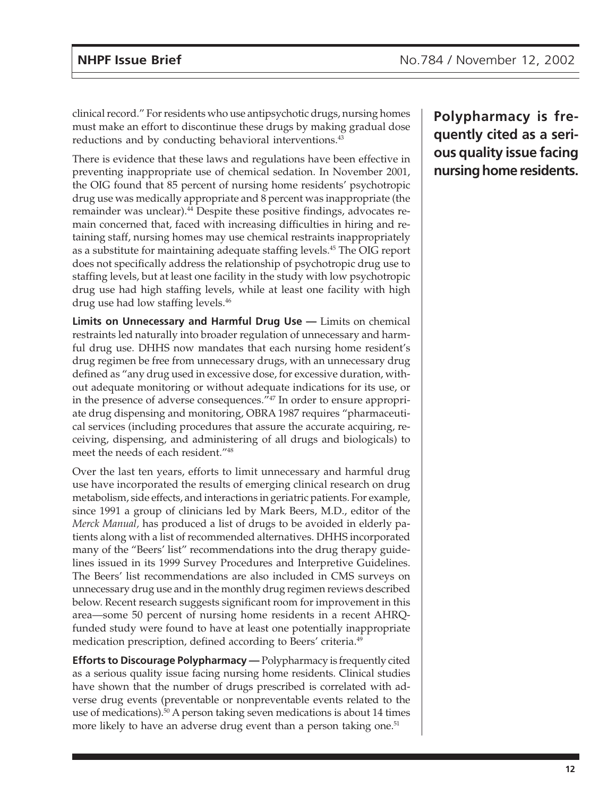clinical record." For residents who use antipsychotic drugs, nursing homes must make an effort to discontinue these drugs by making gradual dose reductions and by conducting behavioral interventions.<sup>43</sup>

There is evidence that these laws and regulations have been effective in preventing inappropriate use of chemical sedation. In November 2001, the OIG found that 85 percent of nursing home residents' psychotropic drug use was medically appropriate and 8 percent was inappropriate (the remainder was unclear).<sup>44</sup> Despite these positive findings, advocates remain concerned that, faced with increasing difficulties in hiring and retaining staff, nursing homes may use chemical restraints inappropriately as a substitute for maintaining adequate staffing levels.<sup>45</sup> The OIG report does not specifically address the relationship of psychotropic drug use to staffing levels, but at least one facility in the study with low psychotropic drug use had high staffing levels, while at least one facility with high drug use had low staffing levels.<sup>46</sup>

**Limits on Unnecessary and Harmful Drug Use —** Limits on chemical restraints led naturally into broader regulation of unnecessary and harmful drug use. DHHS now mandates that each nursing home resident's drug regimen be free from unnecessary drugs, with an unnecessary drug defined as "any drug used in excessive dose, for excessive duration, without adequate monitoring or without adequate indications for its use, or in the presence of adverse consequences."47 In order to ensure appropriate drug dispensing and monitoring, OBRA 1987 requires "pharmaceutical services (including procedures that assure the accurate acquiring, receiving, dispensing, and administering of all drugs and biologicals) to meet the needs of each resident."48

Over the last ten years, efforts to limit unnecessary and harmful drug use have incorporated the results of emerging clinical research on drug metabolism, side effects, and interactions in geriatric patients. For example, since 1991 a group of clinicians led by Mark Beers, M.D., editor of the *Merck Manual,* has produced a list of drugs to be avoided in elderly patients along with a list of recommended alternatives. DHHS incorporated many of the "Beers' list" recommendations into the drug therapy guidelines issued in its 1999 Survey Procedures and Interpretive Guidelines. The Beers' list recommendations are also included in CMS surveys on unnecessary drug use and in the monthly drug regimen reviews described below. Recent research suggests significant room for improvement in this area—some 50 percent of nursing home residents in a recent AHRQfunded study were found to have at least one potentially inappropriate medication prescription, defined according to Beers' criteria.49

**Efforts to Discourage Polypharmacy —** Polypharmacy is frequently cited as a serious quality issue facing nursing home residents. Clinical studies have shown that the number of drugs prescribed is correlated with adverse drug events (preventable or nonpreventable events related to the use of medications).50 A person taking seven medications is about 14 times more likely to have an adverse drug event than a person taking one.<sup>51</sup>

**Polypharmacy is frequently cited as a serious quality issue facing nursing home residents.**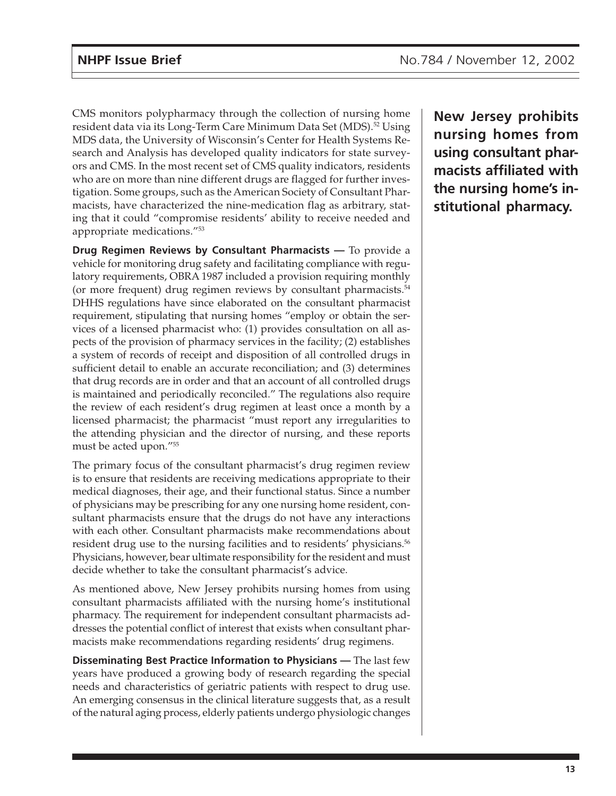CMS monitors polypharmacy through the collection of nursing home resident data via its Long-Term Care Minimum Data Set (MDS).<sup>52</sup> Using MDS data, the University of Wisconsin's Center for Health Systems Research and Analysis has developed quality indicators for state surveyors and CMS. In the most recent set of CMS quality indicators, residents who are on more than nine different drugs are flagged for further investigation. Some groups, such as the American Society of Consultant Pharmacists, have characterized the nine-medication flag as arbitrary, stating that it could "compromise residents' ability to receive needed and appropriate medications."53

**Drug Regimen Reviews by Consultant Pharmacists —** To provide a vehicle for monitoring drug safety and facilitating compliance with regulatory requirements, OBRA 1987 included a provision requiring monthly (or more frequent) drug regimen reviews by consultant pharmacists.54 DHHS regulations have since elaborated on the consultant pharmacist requirement, stipulating that nursing homes "employ or obtain the services of a licensed pharmacist who: (1) provides consultation on all aspects of the provision of pharmacy services in the facility; (2) establishes a system of records of receipt and disposition of all controlled drugs in sufficient detail to enable an accurate reconciliation; and (3) determines that drug records are in order and that an account of all controlled drugs is maintained and periodically reconciled." The regulations also require the review of each resident's drug regimen at least once a month by a licensed pharmacist; the pharmacist "must report any irregularities to the attending physician and the director of nursing, and these reports must be acted upon."55

The primary focus of the consultant pharmacist's drug regimen review is to ensure that residents are receiving medications appropriate to their medical diagnoses, their age, and their functional status. Since a number of physicians may be prescribing for any one nursing home resident, consultant pharmacists ensure that the drugs do not have any interactions with each other. Consultant pharmacists make recommendations about resident drug use to the nursing facilities and to residents' physicians.<sup>56</sup> Physicians, however, bear ultimate responsibility for the resident and must decide whether to take the consultant pharmacist's advice.

As mentioned above, New Jersey prohibits nursing homes from using consultant pharmacists affiliated with the nursing home's institutional pharmacy. The requirement for independent consultant pharmacists addresses the potential conflict of interest that exists when consultant pharmacists make recommendations regarding residents' drug regimens.

**Disseminating Best Practice Information to Physicians —** The last few years have produced a growing body of research regarding the special needs and characteristics of geriatric patients with respect to drug use. An emerging consensus in the clinical literature suggests that, as a result of the natural aging process, elderly patients undergo physiologic changes

**New Jersey prohibits nursing homes from using consultant pharmacists affiliated with the nursing home's institutional pharmacy.**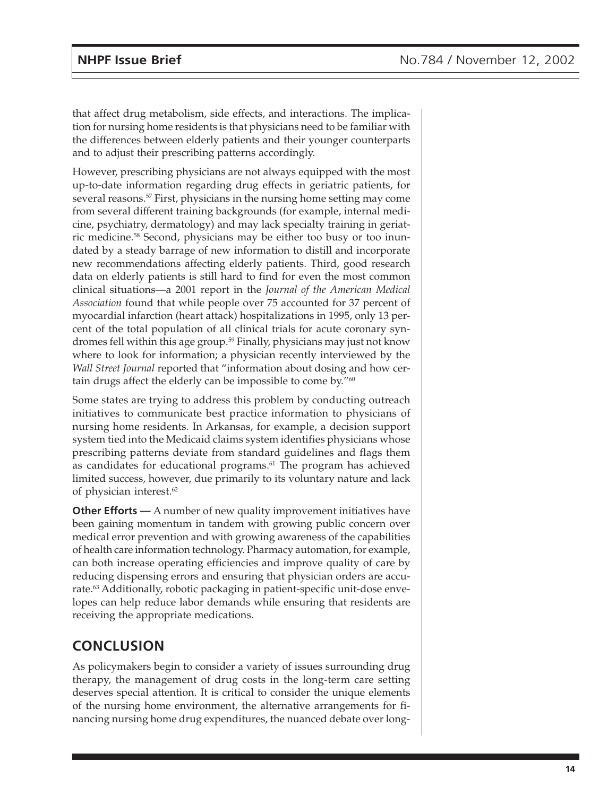that affect drug metabolism, side effects, and interactions. The implication for nursing home residents is that physicians need to be familiar with the differences between elderly patients and their younger counterparts and to adjust their prescribing patterns accordingly.

However, prescribing physicians are not always equipped with the most up-to-date information regarding drug effects in geriatric patients, for several reasons.<sup>57</sup> First, physicians in the nursing home setting may come from several different training backgrounds (for example, internal medicine, psychiatry, dermatology) and may lack specialty training in geriatric medicine.58 Second, physicians may be either too busy or too inundated by a steady barrage of new information to distill and incorporate new recommendations affecting elderly patients. Third, good research data on elderly patients is still hard to find for even the most common clinical situations—a 2001 report in the *Journal of the American Medical Association* found that while people over 75 accounted for 37 percent of myocardial infarction (heart attack) hospitalizations in 1995, only 13 percent of the total population of all clinical trials for acute coronary syndromes fell within this age group.<sup>59</sup> Finally, physicians may just not know where to look for information; a physician recently interviewed by the *Wall Street Journal* reported that "information about dosing and how certain drugs affect the elderly can be impossible to come by."60

Some states are trying to address this problem by conducting outreach initiatives to communicate best practice information to physicians of nursing home residents. In Arkansas, for example, a decision support system tied into the Medicaid claims system identifies physicians whose prescribing patterns deviate from standard guidelines and flags them as candidates for educational programs.<sup>61</sup> The program has achieved limited success, however, due primarily to its voluntary nature and lack of physician interest.<sup>62</sup>

**Other Efforts** — A number of new quality improvement initiatives have been gaining momentum in tandem with growing public concern over medical error prevention and with growing awareness of the capabilities of health care information technology. Pharmacy automation, for example, can both increase operating efficiencies and improve quality of care by reducing dispensing errors and ensuring that physician orders are accurate.<sup>63</sup> Additionally, robotic packaging in patient-specific unit-dose envelopes can help reduce labor demands while ensuring that residents are receiving the appropriate medications.

# **CONCLUSION**

As policymakers begin to consider a variety of issues surrounding drug therapy, the management of drug costs in the long-term care setting deserves special attention. It is critical to consider the unique elements of the nursing home environment, the alternative arrangements for financing nursing home drug expenditures, the nuanced debate over long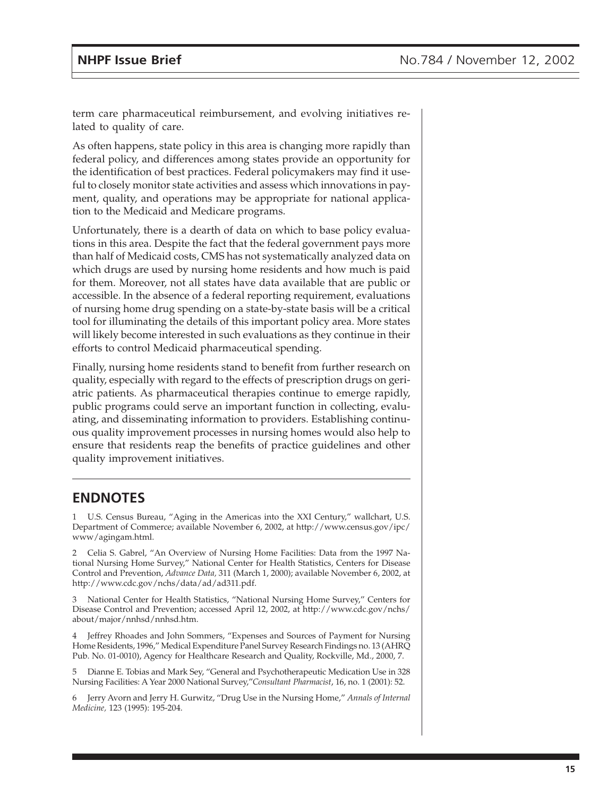term care pharmaceutical reimbursement, and evolving initiatives related to quality of care.

As often happens, state policy in this area is changing more rapidly than federal policy, and differences among states provide an opportunity for the identification of best practices. Federal policymakers may find it useful to closely monitor state activities and assess which innovations in payment, quality, and operations may be appropriate for national application to the Medicaid and Medicare programs.

Unfortunately, there is a dearth of data on which to base policy evaluations in this area. Despite the fact that the federal government pays more than half of Medicaid costs, CMS has not systematically analyzed data on which drugs are used by nursing home residents and how much is paid for them. Moreover, not all states have data available that are public or accessible. In the absence of a federal reporting requirement, evaluations of nursing home drug spending on a state-by-state basis will be a critical tool for illuminating the details of this important policy area. More states will likely become interested in such evaluations as they continue in their efforts to control Medicaid pharmaceutical spending.

Finally, nursing home residents stand to benefit from further research on quality, especially with regard to the effects of prescription drugs on geriatric patients. As pharmaceutical therapies continue to emerge rapidly, public programs could serve an important function in collecting, evaluating, and disseminating information to providers. Establishing continuous quality improvement processes in nursing homes would also help to ensure that residents reap the benefits of practice guidelines and other quality improvement initiatives.

# **ENDNOTES**

1 U.S. Census Bureau, "Aging in the Americas into the XXI Century," wallchart, U.S. Department of Commerce; available November 6, 2002, at http://www.census.gov/ipc/ www/agingam.html.

2 Celia S. Gabrel, "An Overview of Nursing Home Facilities: Data from the 1997 National Nursing Home Survey," National Center for Health Statistics, Centers for Disease Control and Prevention, *Advance Data,* 311 (March 1, 2000); available November 6, 2002, at http://www.cdc.gov/nchs/data/ad/ad311.pdf.

3 National Center for Health Statistics, "National Nursing Home Survey," Centers for Disease Control and Prevention; accessed April 12, 2002, at http://www.cdc.gov/nchs/ about/major/nnhsd/nnhsd.htm.

4 Jeffrey Rhoades and John Sommers, "Expenses and Sources of Payment for Nursing Home Residents, 1996," Medical Expenditure Panel Survey Research Findings no. 13 (AHRQ Pub. No. 01-0010), Agency for Healthcare Research and Quality, Rockville, Md., 2000, 7.

5 Dianne E. Tobias and Mark Sey, "General and Psychotherapeutic Medication Use in 328 Nursing Facilities: A Year 2000 National Survey,"*Consultant Pharmacist*, 16, no. 1 (2001): 52.

6 Jerry Avorn and Jerry H. Gurwitz, "Drug Use in the Nursing Home," *Annals of Internal Medicine,* 123 (1995): 195-204.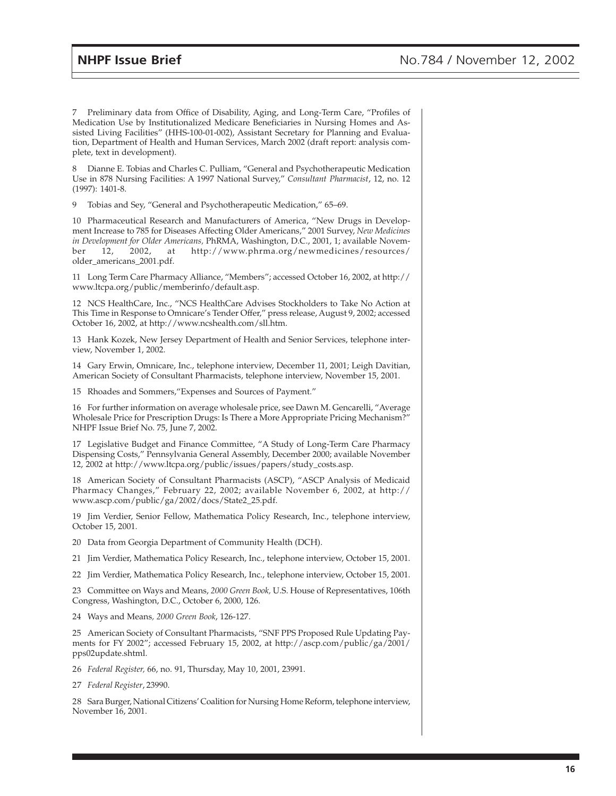7 Preliminary data from Office of Disability, Aging, and Long-Term Care, "Profiles of Medication Use by Institutionalized Medicare Beneficiaries in Nursing Homes and Assisted Living Facilities" (HHS-100-01-002), Assistant Secretary for Planning and Evaluation, Department of Health and Human Services, March 2002 (draft report: analysis complete, text in development).

8 Dianne E. Tobias and Charles C. Pulliam, "General and Psychotherapeutic Medication Use in 878 Nursing Facilities: A 1997 National Survey," *Consultant Pharmacist*, 12, no. 12 (1997): 1401-8.

9 Tobias and Sey, "General and Psychotherapeutic Medication," 65–69.

10 Pharmaceutical Research and Manufacturers of America, "New Drugs in Development Increase to 785 for Diseases Affecting Older Americans," 2001 Survey, *New Medicines in Development for Older Americans,* PhRMA, Washington, D.C., 2001, 1; available November 12, 2002, at http://www.phrma.org/newmedicines/resources/ older\_americans\_2001.pdf.

11 Long Term Care Pharmacy Alliance, "Members"; accessed October 16, 2002, at http:// www.ltcpa.org/public/memberinfo/default.asp.

12 NCS HealthCare, Inc., "NCS HealthCare Advises Stockholders to Take No Action at This Time in Response to Omnicare's Tender Offer," press release, August 9, 2002; accessed October 16, 2002, at http://www.ncshealth.com/sll.htm.

13 Hank Kozek, New Jersey Department of Health and Senior Services, telephone interview, November 1, 2002.

14 Gary Erwin, Omnicare, Inc., telephone interview, December 11, 2001; Leigh Davitian, American Society of Consultant Pharmacists, telephone interview, November 15, 2001.

15 Rhoades and Sommers,"Expenses and Sources of Payment."

16 For further information on average wholesale price, see Dawn M. Gencarelli, "Average Wholesale Price for Prescription Drugs: Is There a More Appropriate Pricing Mechanism?" NHPF Issue Brief No. 75, June 7, 2002.

17 Legislative Budget and Finance Committee, "A Study of Long-Term Care Pharmacy Dispensing Costs," Pennsylvania General Assembly, December 2000; available November 12, 2002 at http://www.ltcpa.org/public/issues/papers/study\_costs.asp.

18 American Society of Consultant Pharmacists (ASCP), "ASCP Analysis of Medicaid Pharmacy Changes," February 22, 2002; available November 6, 2002, at http:// www.ascp.com/public/ga/2002/docs/State2\_25.pdf.

19 Jim Verdier, Senior Fellow, Mathematica Policy Research, Inc., telephone interview, October 15, 2001.

20 Data from Georgia Department of Community Health (DCH).

21 Jim Verdier, Mathematica Policy Research, Inc., telephone interview, October 15, 2001.

22 Jim Verdier, Mathematica Policy Research, Inc., telephone interview, October 15, 2001.

23 Committee on Ways and Means, *2000 Green Book,* U.S. House of Representatives, 106th Congress, Washington, D.C., October 6, 2000, 126.

24 Ways and Means*, 2000 Green Book*, 126-127.

25 American Society of Consultant Pharmacists, "SNF PPS Proposed Rule Updating Payments for FY 2002"; accessed February 15, 2002, at http://ascp.com/public/ga/2001/ pps02update.shtml.

26 *Federal Register,* 66, no. 91, Thursday, May 10, 2001, 23991.

27 *Federal Register*, 23990.

28 Sara Burger, National Citizens' Coalition for Nursing Home Reform, telephone interview, November 16, 2001.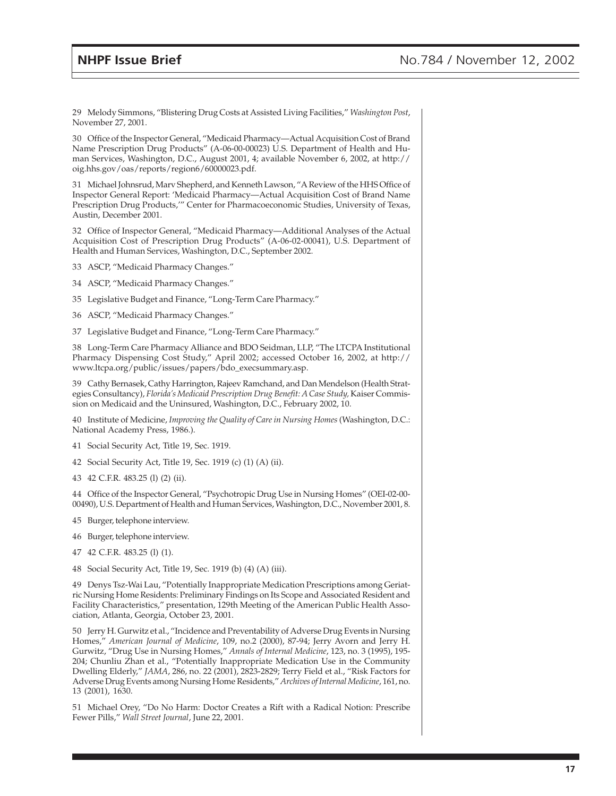29 Melody Simmons, "Blistering Drug Costs at Assisted Living Facilities," *Washington Post*, November 27, 2001.

30 Office of the Inspector General, "Medicaid Pharmacy—Actual Acquisition Cost of Brand Name Prescription Drug Products" (A-06-00-00023) U.S. Department of Health and Human Services, Washington, D.C., August 2001, 4; available November 6, 2002, at http:// oig.hhs.gov/oas/reports/region6/60000023.pdf.

31 Michael Johnsrud, Marv Shepherd, and Kenneth Lawson, "A Review of the HHS Office of Inspector General Report: 'Medicaid Pharmacy—Actual Acquisition Cost of Brand Name Prescription Drug Products,'" Center for Pharmacoeconomic Studies, University of Texas, Austin, December 2001.

32 Office of Inspector General, "Medicaid Pharmacy—Additional Analyses of the Actual Acquisition Cost of Prescription Drug Products" (A-06-02-00041), U.S. Department of Health and Human Services, Washington, D.C., September 2002.

- 33 ASCP, "Medicaid Pharmacy Changes."
- 34 ASCP, "Medicaid Pharmacy Changes."
- 35 Legislative Budget and Finance, "Long-Term Care Pharmacy."
- 36 ASCP, "Medicaid Pharmacy Changes."
- 37 Legislative Budget and Finance, "Long-Term Care Pharmacy."

38 Long-Term Care Pharmacy Alliance and BDO Seidman, LLP, "The LTCPA Institutional Pharmacy Dispensing Cost Study," April 2002; accessed October 16, 2002, at http:// www.ltcpa.org/public/issues/papers/bdo\_execsummary.asp.

39 Cathy Bernasek, Cathy Harrington, Rajeev Ramchand, and Dan Mendelson (Health Strategies Consultancy), *Florida's Medicaid Prescription Drug Benefit: A Case Study*, Kaiser Commission on Medicaid and the Uninsured, Washington, D.C., February 2002, 10.

40 Institute of Medicine, *Improving the Quality of Care in Nursing Homes* (Washington, D.C.: National Academy Press, 1986.).

- 41 Social Security Act, Title 19, Sec. 1919.
- 42 Social Security Act, Title 19, Sec. 1919 (c) (1) (A) (ii).
- 43 42 C.F.R. 483.25 (l) (2) (ii).

44 Office of the Inspector General, "Psychotropic Drug Use in Nursing Homes" (OEI-02-00- 00490), U.S. Department of Health and Human Services, Washington, D.C., November 2001, 8.

- 45 Burger, telephone interview.
- 46 Burger, telephone interview.
- 47 42 C.F.R. 483.25 (l) (1).
- 48 Social Security Act, Title 19, Sec. 1919 (b) (4) (A) (iii).

49 Denys Tsz-Wai Lau, "Potentially Inappropriate Medication Prescriptions among Geriatric Nursing Home Residents: Preliminary Findings on Its Scope and Associated Resident and Facility Characteristics," presentation, 129th Meeting of the American Public Health Association, Atlanta, Georgia, October 23, 2001.

50 Jerry H. Gurwitz et al., "Incidence and Preventability of Adverse Drug Events in Nursing Homes," *American Journal of Medicine*, 109, no.2 (2000), 87-94; Jerry Avorn and Jerry H. Gurwitz, "Drug Use in Nursing Homes," *Annals of Internal Medicine*, 123, no. 3 (1995), 195- 204; Chunliu Zhan et al., "Potentially Inappropriate Medication Use in the Community Dwelling Elderly," *JAMA*, 286, no. 22 (2001), 2823-2829; Terry Field et al., "Risk Factors for Adverse Drug Events among Nursing Home Residents," *Archives of Internal Medicine*, 161, no. 13 (2001), 1630.

51 Michael Orey, "Do No Harm: Doctor Creates a Rift with a Radical Notion: Prescribe Fewer Pills," *Wall Street Journal*, June 22, 2001.